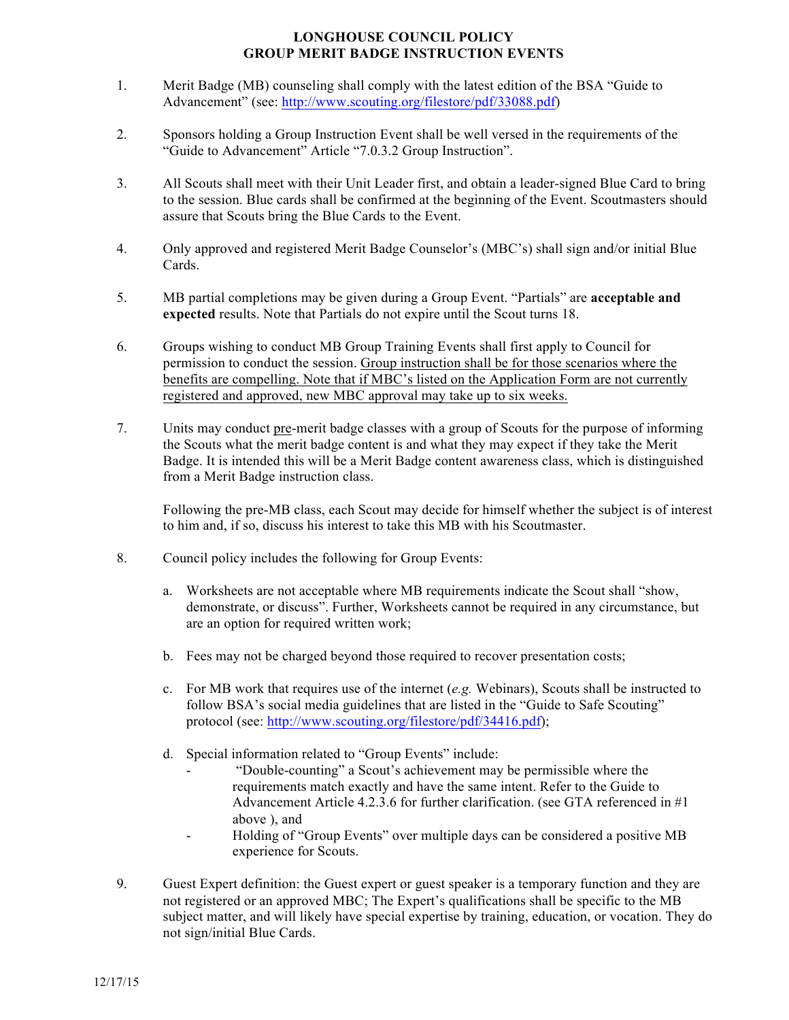## **LONGHOUSE COUNCIL POLICY GROUP MERIT BADGE INSTRUCTION EVENTS**

- 1. Merit Badge (MB) counseling shall comply with the latest edition of the BSA "Guide to Advancement" (see: http://www.scouting.org/filestore/pdf/33088.pdf)
- 2. Sponsors holding a Group Instruction Event shall be well versed in the requirements of the "Guide to Advancement" Article "7.0.3.2 Group Instruction".
- 3. All Scouts shall meet with their Unit Leader first, and obtain a leader-signed Blue Card to bring to the session. Blue cards shall be confirmed at the beginning of the Event. Scoutmasters should assure that Scouts bring the Blue Cards to the Event.
- 4. Only approved and registered Merit Badge Counselor's (MBC's) shall sign and/or initial Blue Cards.
- 5. MB partial completions may be given during a Group Event. "Partials" are **acceptable and expected** results. Note that Partials do not expire until the Scout turns 18.
- 6. Groups wishing to conduct MB Group Training Events shall first apply to Council for permission to conduct the session. Group instruction shall be for those scenarios where the benefits are compelling. Note that if MBC's listed on the Application Form are not currently registered and approved, new MBC approval may take up to six weeks.
- 7. Units may conduct pre-merit badge classes with a group of Scouts for the purpose of informing the Scouts what the merit badge content is and what they may expect if they take the Merit Badge. It is intended this will be a Merit Badge content awareness class, which is distinguished from a Merit Badge instruction class.

Following the pre-MB class, each Scout may decide for himself whether the subject is of interest to him and, if so, discuss his interest to take this MB with his Scoutmaster.

- 8. Council policy includes the following for Group Events:
	- a. Worksheets are not acceptable where MB requirements indicate the Scout shall "show, demonstrate, or discuss". Further, Worksheets cannot be required in any circumstance, but are an option for required written work;
	- b. Fees may not be charged beyond those required to recover presentation costs;
	- c. For MB work that requires use of the internet (*e.g.* Webinars), Scouts shall be instructed to follow BSA's social media guidelines that are listed in the "Guide to Safe Scouting" protocol (see: http://www.scouting.org/filestore/pdf/34416.pdf);
	- d. Special information related to "Group Events" include:
		- "Double-counting" a Scout's achievement may be permissible where the requirements match exactly and have the same intent. Refer to the Guide to Advancement Article 4.2.3.6 for further clarification. (see GTA referenced in #1 above ), and
		- Holding of "Group Events" over multiple days can be considered a positive MB experience for Scouts.
- 9. Guest Expert definition: the Guest expert or guest speaker is a temporary function and they are not registered or an approved MBC; The Expert's qualifications shall be specific to the MB subject matter, and will likely have special expertise by training, education, or vocation. They do not sign/initial Blue Cards.